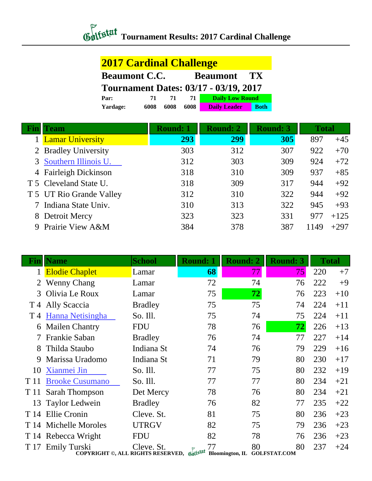## *Chitstat* Tournament Results: 2017 Cardinal Challenge

## **2017 Cardinal Challenge**

| <b>Beaumont C.C.</b>                         |      |      |      | <b>Beaumont</b>        | $\mathbf{T} \mathbf{X}$ |  |  |
|----------------------------------------------|------|------|------|------------------------|-------------------------|--|--|
| <b>Tournament Dates: 03/17 - 03/19, 2017</b> |      |      |      |                        |                         |  |  |
| Par:                                         | 71.  | 71   | 71   | <b>Daily Low Round</b> |                         |  |  |
| Yardage:                                     | 6008 | 6008 | 6008 | <b>Daily Leader</b>    | <b>Both</b>             |  |  |

| `eam                     | <b>Round: 1</b> | <b>Round: 2</b> | <b>Round: 3</b> | <b>Total</b> |        |
|--------------------------|-----------------|-----------------|-----------------|--------------|--------|
| <b>Lamar University</b>  | 293             | 299             | 305             | 897          | $+45$  |
| 2 Bradley University     | 303             | 312             | 307             | 922          | $+70$  |
| 3 Southern Illinois U.   | 312             | 303             | 309             | 924          | $+72$  |
| 4 Fairleigh Dickinson    | 318             | 310             | 309             | 937          | $+85$  |
| T 5 Cleveland State U.   | 318             | 309             | 317             | 944          | $+92$  |
| T 5 UT Rio Grande Valley | 312             | 310             | 322             | 944          | $+92$  |
| Indiana State Univ.      | 310             | 313             | 322             | 945          | $+93$  |
| 8 Detroit Mercy          | 323             | 323             | 331             | 977          | $+125$ |
| 9 Prairie View A&M       | 384             | 378             | 387             | 1149         | $+297$ |

| Finll | <b>Name</b>                                                       | <b>School</b>  | <b>Round: 1</b> |    | <b>Round: 2</b>        |    | <b>Round: 3</b>     |    | <b>Total</b> |       |
|-------|-------------------------------------------------------------------|----------------|-----------------|----|------------------------|----|---------------------|----|--------------|-------|
|       | <b>Elodie Chaplet</b>                                             | Lamar          |                 | 68 |                        | 77 |                     | 75 | 220          | $+7$  |
| 2     | <b>Wenny Chang</b>                                                | Lamar          |                 | 72 |                        | 74 |                     | 76 | 222          | $+9$  |
| 3     | Olivia Le Roux                                                    | Lamar          |                 | 75 |                        | 72 |                     | 76 | 223          | $+10$ |
| T 4   | Ally Scaccia                                                      | <b>Bradley</b> |                 | 75 |                        | 75 |                     | 74 | 224          | $+11$ |
| T 4   | Hanna Netisingha                                                  | So. Ill.       |                 | 75 |                        | 74 |                     | 75 | 224          | $+11$ |
| 6     | <b>Mailen Chantry</b>                                             | <b>FDU</b>     |                 | 78 |                        | 76 |                     | 72 | 226          | $+13$ |
|       | Frankie Saban                                                     | <b>Bradley</b> |                 | 76 |                        | 74 |                     | 77 | 227          | $+14$ |
| 8     | Thilda Staubo                                                     | Indiana St     |                 | 74 |                        | 76 |                     | 79 | 229          | $+16$ |
| 9     | Marissa Uradomo                                                   | Indiana St     |                 | 71 |                        | 79 |                     | 80 | 230          | $+17$ |
| 10    | Xianmei Jin                                                       | So. Ill.       |                 | 77 |                        | 75 |                     | 80 | 232          | $+19$ |
| T 11  | <b>Brooke Cusumano</b>                                            | So. Ill.       |                 | 77 |                        | 77 |                     | 80 | 234          | $+21$ |
| T 11  | Sarah Thompson                                                    | Det Mercy      |                 | 78 |                        | 76 |                     | 80 | 234          | $+21$ |
| 13    | <b>Taylor Ledwein</b>                                             | <b>Bradley</b> |                 | 76 |                        | 82 |                     | 77 | 235          | $+22$ |
| T 14  | Ellie Cronin                                                      | Cleve. St.     |                 | 81 |                        | 75 |                     | 80 | 236          | $+23$ |
| T 14  | Michelle Moroles                                                  | <b>UTRGV</b>   |                 | 82 |                        | 75 |                     | 79 | 236          | $+23$ |
|       | T 14 Rebecca Wright                                               | <b>FDU</b>     |                 | 82 |                        | 78 |                     | 76 | 236          | $+23$ |
| T 17  | <b>Emily Turski</b><br>COPYRIGHT ©, ALL RIGHTS RESERVED, Gulfstat | Cleve. St.     |                 | 77 | <b>Bloomington, IL</b> | 80 | <b>GOLFSTAT.COM</b> | 80 | 237          | $+24$ |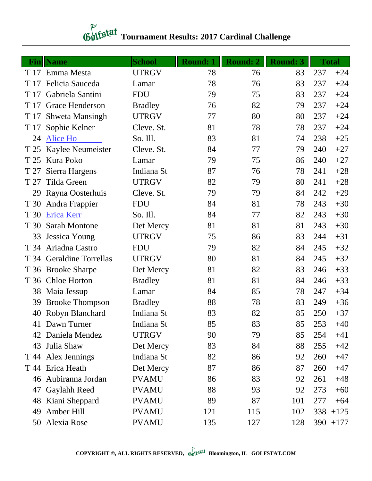## *Contextal* Tournament Results: 2017 Cardinal Challenge

| Fin  | <b>Name</b>              | <b>School</b>  | <b>Round: 1</b> | <b>Round: 2</b> | <b>Round: 3</b> |     | <b>Total</b> |
|------|--------------------------|----------------|-----------------|-----------------|-----------------|-----|--------------|
|      | T 17 Emma Mesta          | <b>UTRGV</b>   | 78              | 76              | 83              | 237 | $+24$        |
| T 17 | Felicia Sauceda          | Lamar          | 78              | 76              | 83              | 237 | $+24$        |
| T 17 | Gabriela Santini         | <b>FDU</b>     | 79              | 75              | 83              | 237 | $+24$        |
| T 17 | Grace Henderson          | <b>Bradley</b> | 76              | 82              | 79              | 237 | $+24$        |
| T 17 | <b>Shweta Mansingh</b>   | <b>UTRGV</b>   | 77              | 80              | 80              | 237 | $+24$        |
| T 17 | Sophie Kelner            | Cleve. St.     | 81              | 78              | 78              | 237 | $+24$        |
| 24   | Alice Ho                 | So. Ill.       | 83              | 81              | 74              | 238 | $+25$        |
| T 25 | <b>Kaylee Neumeister</b> | Cleve. St.     | 84              | 77              | 79              | 240 | $+27$        |
| T 25 | Kura Poko                | Lamar          | 79              | 75              | 86              | 240 | $+27$        |
| T 27 | Sierra Hargens           | Indiana St     | 87              | 76              | 78              | 241 | $+28$        |
| T 27 | Tilda Green              | <b>UTRGV</b>   | 82              | 79              | 80              | 241 | $+28$        |
| 29   | Rayna Oosterhuis         | Cleve. St.     | 79              | 79              | 84              | 242 | $+29$        |
| T 30 | Andra Frappier           | <b>FDU</b>     | 84              | 81              | 78              | 243 | $+30$        |
| T 30 | Erica Kerr               | So. Ill.       | 84              | 77              | 82              | 243 | $+30$        |
| T 30 | <b>Sarah Montone</b>     | Det Mercy      | 81              | 81              | 81              | 243 | $+30$        |
| 33   | Jessica Young            | <b>UTRGV</b>   | 75              | 86              | 83              | 244 | $+31$        |
| T 34 | Ariadna Castro           | <b>FDU</b>     | 79              | 82              | 84              | 245 | $+32$        |
|      | T 34 Geraldine Torrellas | <b>UTRGV</b>   | 80              | 81              | 84              | 245 | $+32$        |
|      | T 36 Brooke Sharpe       | Det Mercy      | 81              | 82              | 83              | 246 | $+33$        |
| T 36 | <b>Chloe Horton</b>      | <b>Bradley</b> | 81              | 81              | 84              | 246 | $+33$        |
| 38   | Maia Jessup              | Lamar          | 84              | 85              | 78              | 247 | $+34$        |
| 39   | <b>Brooke Thompson</b>   | <b>Bradley</b> | 88              | 78              | 83              | 249 | $+36$        |
| 40   | Robyn Blanchard          | Indiana St     | 83              | 82              | 85              | 250 | $+37$        |
|      | 41 Dawn Turner           | Indiana St     | 85              | 83              | 85              | 253 | $+40$        |
|      | 42 Daniela Mendez        | <b>UTRGV</b>   | 90              | 79              | 85              | 254 | $+41$        |
| 43   | Julia Shaw               | Det Mercy      | 83              | 84              | 88              | 255 | $+42$        |
|      | T 44 Alex Jennings       | Indiana St     | 82              | 86              | 92              | 260 | $+47$        |
|      | T 44 Erica Heath         | Det Mercy      | 87              | 86              | 87              | 260 | $+47$        |
|      | 46 Aubiranna Jordan      | <b>PVAMU</b>   | 86              | 83              | 92              | 261 | $+48$        |
| 47   | Gaylahh Reed             | <b>PVAMU</b>   | 88              | 93              | 92              | 273 | $+60$        |
| 48   | Kiani Sheppard           | <b>PVAMU</b>   | 89              | 87              | 101             | 277 | $+64$        |
| 49   | Amber Hill               | <b>PVAMU</b>   | 121             | 115             | 102             |     | $338 + 125$  |
|      | 50 Alexia Rose           | <b>PVAMU</b>   | 135             | 127             | 128             |     | $390 + 177$  |